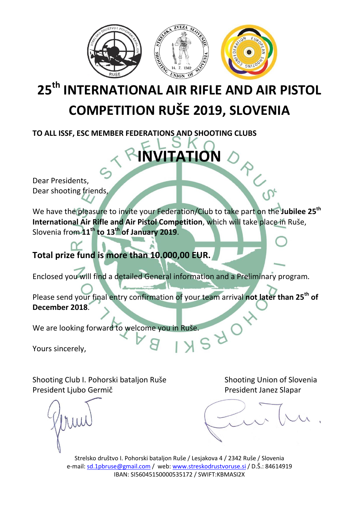

# **25th INTERNATIONAL AIR RIFLE AND AIR PISTOL COMPETITION RUŠE 2019, SLOVENIA**

**INVITATIO** 

**TO ALL ISSF, ESC MEMBER FEDERATIONS AND SHOOTING CLUBS**

### Dear Presidents, Dear shooting friends,

We have the pleasure to invite your Federation/Club to take part on the **Jubilee 25th International Air Rifle and Air Pistol Competition**, which will take place in Ruše, Slovenia from **11th to 13th of January 2019**.

## **Total prize fund is more than 10.000,00 EUR.**

Enclosed you will find a detailed General information and a Preliminary program.

Please send your final entry confirmation of your team arrival **not later than 25th of December 2018**.

We are looking forward to welcome you in Ruše.

Yours sincerely,

Shooting Club I. Pohorski batalion Ruše Shooting Union of Slovenia President Ljubo Germič President Janez Slapar

Strelsko društvo I. Pohorski bataljon Ruše / Lesjakova 4 / 2342 Ruše / Slovenia e-mail: [sd.1pbruse@gmail.com](mailto:sd.1pbruse@gmail.com) / web: [www.streskodrustvoruse.si](http://www.streskodrustvoruse.si/) / D.Š.: 84614919 IBAN: SI56045150000535172 / SWIFT:KBMASI2X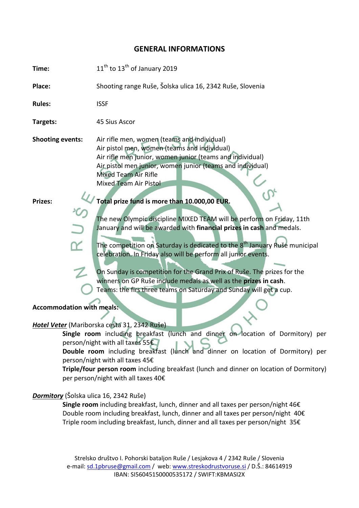#### **GENERAL INFORMATIONS**

**Time:** <sup>th</sup> to 13<sup>th</sup> of January 2019

**Place:** Shooting range Ruše, Šolska ulica 16, 2342 Ruše, Slovenia

**Rules:** ISSF

**Targets:** 45 Sius Ascor

**Shooting events:** Air rifle men, women (teams and individual) Air pistol men, women (teams and individual) Air rifle men junior, women junior (teams and individual) Air pistol men junior, women junior (teams and individual) Mixed Team Air Rifle Mixed Team Air Pistol

**Prizes: Total prize fund is more than 10.000,00 EUR.**

The new Olympic discipline MIXED TEAM will be perform on Friday, 11th January and will be awarded with **financial prizes in cash** and medals.

The competition on Saturday is dedicated to the  $8<sup>th</sup>$  January Ruše municipal celebration. In Friday also will be perform all junior events.

On Sunday is competition for the Grand Prix of Ruše. The prizes for the winners on GP Ruše include medals as well as the **prizes in cash**. Teams: the firs three teams on Saturday and Sunday will get a cup.

**Accommodation with meals:**

#### *Hotel Veter* (Mariborska cesta 31, 2342 Ruše)

**Single room** including breakfast (lunch and dinner on location of Dormitory) per person/night with all taxes 55€

**Double room** including breakfast (lunch and dinner on location of Dormitory) per person/night with all taxes 45€

**Triple/four person room** including breakfast (lunch and dinner on location of Dormitory) per person/night with all taxes 40€

#### *Dormitory* (Šolska ulica 16, 2342 Ruše)

**Single room** including breakfast, lunch, dinner and all taxes per person/night 46€ Double room including breakfast, lunch, dinner and all taxes per person/night 40€ Triple room including breakfast, lunch, dinner and all taxes per person/night 35€

Strelsko društvo I. Pohorski bataljon Ruše / Lesjakova 4 / 2342 Ruše / Slovenia e-mail: [sd.1pbruse@gmail.com](mailto:sd.1pbruse@gmail.com) / web: [www.streskodrustvoruse.si](http://www.streskodrustvoruse.si/) / D.Š.: 84614919 IBAN: SI56045150000535172 / SWIFT:KBMASI2X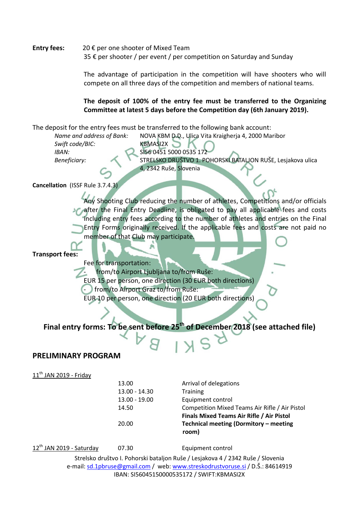**Entry fees:** 20 € per one shooter of Mixed Team 35 € per shooter / per event / per competition on Saturday and Sunday

> The advantage of participation in the competition will have shooters who will compete on all three days of the competition and members of national teams.

#### **The deposit of 100% of the entry fee must be transferred to the Organizing Committee at latest 5 days before the Competition day (6th January 2019).**

The deposit for the entry fees must be transferred to the following bank account:

*Name and address of Bank:* NOVA KBM D.D., Ulica Vita Kraigherja 4, 2000 Maribor

**Swift code/BIC:** KBMASI2X *IBAN:* SI56 0451 5000 0535 172 Beneficiary: STRELSKO DRUŠTVO 1. POHORSKI BATALJON RUŠE, Lesjakova ulica 4, 2342 Ruše, Slovenia

**Cancellation** (ISSF Rule 3.7.4.3)

Any Shooting Club reducing the number of athletes, Competitions and/or officials after the Final Entry Deadline, is obligated to pay all applicable fees and costs including entry fees according to the number of athletes and entries on the Final Entry Forms originally received. If the applicable fees and costs are not paid no member of that Club may participate.

#### **Transport fees:**

Fee for transportation: from/to Airport Ljubljana to/from Ruše: EUR 15 per person, one direction (30 EUR both directions) - from/to Airport Graz to/from Ruše: EUR 10 per person, one direction (20 EUR both directions)

**Final entry forms: To be sent before 25th of December 2018 (see attached file)**

#### **PRELIMINARY PROGRAM**

11 th JAN 2019 - Friday

| 13.00           | Arrival of delegations                         |
|-----------------|------------------------------------------------|
| 13.00 - 14.30   | <b>Training</b>                                |
| $13.00 - 19.00$ | Equipment control                              |
| 14.50           | Competition Mixed Teams Air Rifle / Air Pistol |
|                 | Finals Mixed Teams Air Rifle / Air Pistol      |
| 20.00           | Technical meeting (Dormitory - meeting         |
|                 | room)                                          |
|                 |                                                |

12th JAN 2019 - Saturday 07.30 Equipment control

Strelsko društvo I. Pohorski bataljon Ruše / Lesjakova 4 / 2342 Ruše / Slovenia e-mail: [sd.1pbruse@gmail.com](mailto:sd.1pbruse@gmail.com) / web: [www.streskodrustvoruse.si](http://www.streskodrustvoruse.si/) / D.Š.: 84614919 IBAN: SI56045150000535172 / SWIFT:KBMASI2X